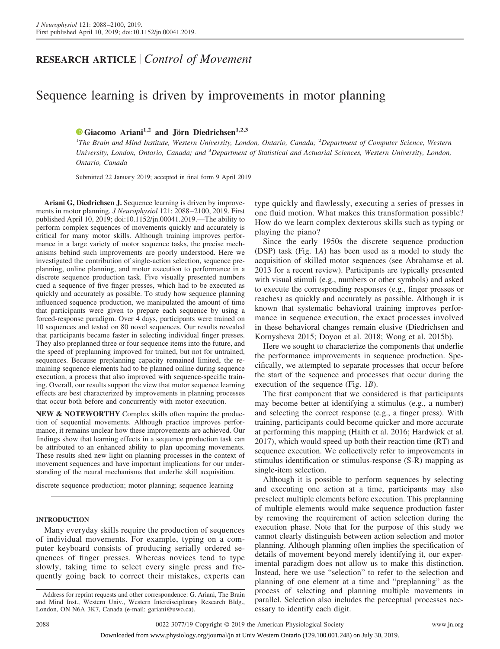# **RESEARCH ARTICLE** *Control of Movement*

# Sequence learning is driven by improvements in motor planning

# **X [Giacomo Ariani](https://orcid.org/0000-0001-9074-1272)1,2 and Jörn Diedrichsen1,2,3**

<sup>1</sup>The Brain and Mind Institute, Western University, London, Ontario, Canada; <sup>2</sup>Department of Computer Science, Western *University, London, Ontario, Canada; and* <sup>3</sup> *Department of Statistical and Actuarial Sciences, Western University, London, Ontario, Canada*

Submitted 22 January 2019; accepted in final form 9 April 2019

**Ariani G, Diedrichsen J.** Sequence learning is driven by improvements in motor planning. *J Neurophysiol* 121: 2088 –2100, 2019. First published April 10, 2019; doi[:10.1152/jn.00041.2019.](http://doi.org/10.1152/jn.00041.2019)—The ability to perform complex sequences of movements quickly and accurately is critical for many motor skills. Although training improves performance in a large variety of motor sequence tasks, the precise mechanisms behind such improvements are poorly understood. Here we investigated the contribution of single-action selection, sequence preplanning, online planning, and motor execution to performance in a discrete sequence production task. Five visually presented numbers cued a sequence of five finger presses, which had to be executed as quickly and accurately as possible. To study how sequence planning influenced sequence production, we manipulated the amount of time that participants were given to prepare each sequence by using a forced-response paradigm. Over 4 days, participants were trained on 10 sequences and tested on 80 novel sequences. Our results revealed that participants became faster in selecting individual finger presses. They also preplanned three or four sequence items into the future, and the speed of preplanning improved for trained, but not for untrained, sequences. Because preplanning capacity remained limited, the remaining sequence elements had to be planned online during sequence execution, a process that also improved with sequence-specific training. Overall, our results support the view that motor sequence learning effects are best characterized by improvements in planning processes that occur both before and concurrently with motor execution.

**NEW & NOTEWORTHY** Complex skills often require the production of sequential movements. Although practice improves performance, it remains unclear how these improvements are achieved. Our findings show that learning effects in a sequence production task can be attributed to an enhanced ability to plan upcoming movements. These results shed new light on planning processes in the context of movement sequences and have important implications for our understanding of the neural mechanisms that underlie skill acquisition.

discrete sequence production; motor planning; sequence learning

# **INTRODUCTION**

Many everyday skills require the production of sequences of individual movements. For example, typing on a computer keyboard consists of producing serially ordered sequences of finger presses. Whereas novices tend to type slowly, taking time to select every single press and frequently going back to correct their mistakes, experts can type quickly and flawlessly, executing a series of presses in one fluid motion. What makes this transformation possible? How do we learn complex dexterous skills such as typing or playing the piano?

Since the early 1950s the discrete sequence production (DSP) task (Fig. 1*A*) has been used as a model to study the acquisition of skilled motor sequences (see Abrahamse et al. 2013 for a recent review). Participants are typically presented with visual stimuli (e.g., numbers or other symbols) and asked to execute the corresponding responses (e.g., finger presses or reaches) as quickly and accurately as possible. Although it is known that systematic behavioral training improves performance in sequence execution, the exact processes involved in these behavioral changes remain elusive (Diedrichsen and Kornysheva 2015; Doyon et al. 2018; Wong et al. 2015b).

Here we sought to characterize the components that underlie the performance improvements in sequence production. Specifically, we attempted to separate processes that occur before the start of the sequence and processes that occur during the execution of the sequence (Fig. 1*B*).

The first component that we considered is that participants may become better at identifying a stimulus (e.g., a number) and selecting the correct response (e.g., a finger press). With training, participants could become quicker and more accurate at performing this mapping (Haith et al. 2016; Hardwick et al. 2017), which would speed up both their reaction time (RT) and sequence execution. We collectively refer to improvements in stimulus identification or stimulus-response (S-R) mapping as single-item selection.

Although it is possible to perform sequences by selecting and executing one action at a time, participants may also preselect multiple elements before execution. This preplanning of multiple elements would make sequence production faster by removing the requirement of action selection during the execution phase. Note that for the purpose of this study we cannot clearly distinguish between action selection and motor planning. Although planning often implies the specification of details of movement beyond merely identifying it, our experimental paradigm does not allow us to make this distinction. Instead, here we use "selection" to refer to the selection and planning of one element at a time and "preplanning" as the process of selecting and planning multiple movements in parallel. Selection also includes the perceptual processes necessary to identify each digit.

Address for reprint requests and other correspondence: G. Ariani, The Brain and Mind Inst., Western Univ., Western Interdisciplinary Research Bldg., London, ON N6A 3K7, Canada (e-mail: [gariani@uwo.ca\)](mailto:gariani@uwo.ca).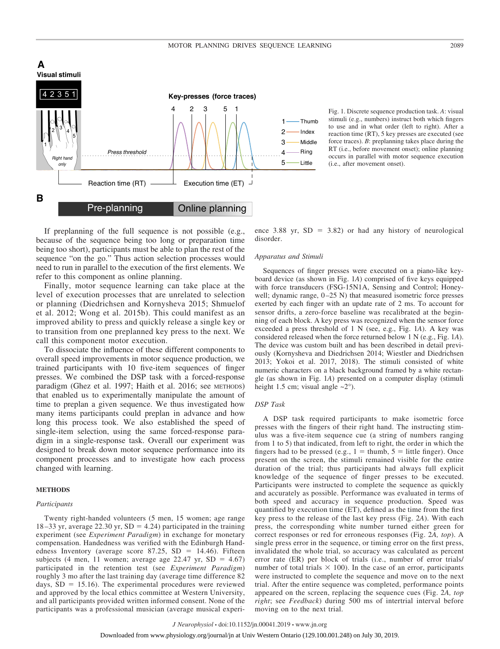

Fig. 1. Discrete sequence production task. *A*: visual stimuli (e.g., numbers) instruct both which fingers to use and in what order (left to right). After a reaction time (RT), 5 key presses are executed (see force traces). *B*: preplanning takes place during the RT (i.e., before movement onset); online planning occurs in parallel with motor sequence execution (i.e., after movement onset).

If preplanning of the full sequence is not possible (e.g., because of the sequence being too long or preparation time being too short), participants must be able to plan the rest of the sequence "on the go." Thus action selection processes would need to run in parallel to the execution of the first elements. We refer to this component as online planning.

Finally, motor sequence learning can take place at the level of execution processes that are unrelated to selection or planning (Diedrichsen and Kornysheva 2015; Shmuelof et al. 2012; Wong et al. 2015b). This could manifest as an improved ability to press and quickly release a single key or to transition from one preplanned key press to the next. We call this component motor execution.

To dissociate the influence of these different components to overall speed improvements in motor sequence production, we trained participants with 10 five-item sequences of finger presses. We combined the DSP task with a forced-response paradigm (Ghez et al. 1997; Haith et al. 2016; see METHODS) that enabled us to experimentally manipulate the amount of time to preplan a given sequence. We thus investigated how many items participants could preplan in advance and how long this process took. We also established the speed of single-item selection, using the same forced-response paradigm in a single-response task. Overall our experiment was designed to break down motor sequence performance into its component processes and to investigate how each process changed with learning.

### **METHODS**

# *Participants*

Twenty right-handed volunteers (5 men, 15 women; age range 18–33 yr, average 22.30 yr,  $SD = 4.24$ ) participated in the training experiment (see *Experiment Paradigm*) in exchange for monetary compensation. Handedness was verified with the Edinburgh Handedness Inventory (average score  $87.25$ , SD = 14.46). Fifteen subjects (4 men, 11 women; average age 22.47 yr,  $SD = 4.67$ ) participated in the retention test (see *Experiment Paradigm*) roughly 3 mo after the last training day (average time difference 82 days,  $SD = 15.16$ ). The experimental procedures were reviewed and approved by the local ethics committee at Western University, and all participants provided written informed consent. None of the participants was a professional musician (average musical experi-

ence  $3.88$  yr,  $SD = 3.82$ ) or had any history of neurological disorder.

# *Apparatus and Stimuli*

Sequences of finger presses were executed on a piano-like keyboard device (as shown in Fig. 1*A*) comprised of five keys equipped with force transducers (FSG-15N1A, Sensing and Control; Honeywell; dynamic range,  $0-25$  N) that measured isometric force presses exerted by each finger with an update rate of 2 ms. To account for sensor drifts, a zero-force baseline was recalibrated at the beginning of each block. A key press was recognized when the sensor force exceeded a press threshold of 1 N (see, e.g., Fig. 1*A*). A key was considered released when the force returned below 1 N (e.g., Fig. 1*A*). The device was custom built and has been described in detail previously (Kornysheva and Diedrichsen 2014; Wiestler and Diedrichsen 2013; Yokoi et al. 2017, 2018). The stimuli consisted of white numeric characters on a black background framed by a white rectangle (as shown in Fig. 1*A*) presented on a computer display (stimuli height 1.5 cm; visual angle  $\sim$ 2°).

# *DSP Task*

A DSP task required participants to make isometric force presses with the fingers of their right hand. The instructing stimulus was a five-item sequence cue (a string of numbers ranging from 1 to 5) that indicated, from left to right, the order in which the fingers had to be pressed (e.g.,  $1 =$  thumb,  $5 =$  little finger). Once present on the screen, the stimuli remained visible for the entire duration of the trial; thus participants had always full explicit knowledge of the sequence of finger presses to be executed. Participants were instructed to complete the sequence as quickly and accurately as possible. Performance was evaluated in terms of both speed and accuracy in sequence production. Speed was quantified by execution time (ET), defined as the time from the first key press to the release of the last key press (Fig. 2*A*). With each press, the corresponding white number turned either green for correct responses or red for erroneous responses (Fig. 2*A, top*). A single press error in the sequence, or timing error on the first press, invalidated the whole trial, so accuracy was calculated as percent error rate (ER) per block of trials (i.e., number of error trials/ number of total trials  $\times$  100). In the case of an error, participants were instructed to complete the sequence and move on to the next trial. After the entire sequence was completed, performance points appeared on the screen, replacing the sequence cues (Fig. 2*A, top right*; see *Feedback*) during 500 ms of intertrial interval before moving on to the next trial.

*J Neurophysiol* • doi:10.1152/jn.00041.2019 • www.jn.org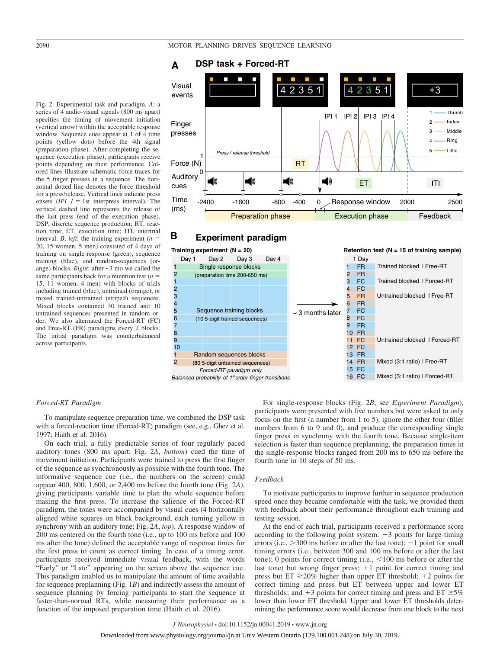### 2090 MOTOR PLANNING DRIVES SEQUENCE LEARNING



### **B Experiment paradigm**



### (vertical arrow) within the acceptable response window. Sequence cues appear at 1 of 4 time points (yellow dots) before the 4th signal (preparation phase). After completing the sequence (execution phase), participants receive points depending on their performance. Colored lines illustrate schematic force traces for the 5 finger presses in a sequence. The horizontal dotted line denotes the force threshold for a press/release. Vertical lines indicate press onsets  $(IPI \tI = 1st$  interpress interval). The vertical dashed line represents the release of the last press (end of the execution phase). DSP, discrete sequence production; RT, reaction time; ET, execution time; ITI, intertrial interval. *B*, *left*: the training experiment  $(n =$ 20, 15 women, 5 men) consisted of 4 days of training on single-response (green), sequence training (blue), and random-sequences (orange) blocks. *Right*: after ~3 mo we called the same participants back for a retention test  $(n =$ 15, 11 women, 4 men) with blocks of trials including trained (blue), untrained (orange), or mixed trained-untrained (striped) sequences. Mixed blocks contained 30 trained and 10 untrained sequences presented in random order. We also alternated the Forced-RT (FC) and Free-RT (FR) paradigms every 2 blocks. The initial paradigm was counterbalanced across participants.

# *Forced-RT Paradigm*

To manipulate sequence preparation time, we combined the DSP task with a forced-reaction time (Forced-RT) paradigm (see, e.g., Ghez et al. 1997; Haith et al. 2016).

On each trial, a fully predictable series of four regularly paced auditory tones (800 ms apart; Fig. 2*A*, *bottom*) cued the time of movement initiation. Participants were trained to press the first finger of the sequence as synchronously as possible with the fourth tone. The informative sequence cue (i.e., the numbers on the screen) could appear 400, 800, 1,600, or 2,400 ms before the fourth tone (Fig. 2*A*), giving participants variable time to plan the whole sequence before making the first press. To increase the salience of the Forced-RT paradigm, the tones were accompanied by visual cues (4 horizontally aligned white squares on black background, each turning yellow in synchrony with an auditory tone; Fig. 2*A*, *top*). A response window of 200 ms centered on the fourth tone (i.e., up to 100 ms before and 100 ms after the tone) defined the acceptable range of response times for the first press to count as correct timing. In case of a timing error, participants received immediate visual feedback, with the words "Early" or "Late" appearing on the screen above the sequence cue. This paradigm enabled us to manipulate the amount of time available for sequence preplanning (Fig. 1*B*) and indirectly assess the amount of sequence planning by forcing participants to start the sequence at faster-than-normal RTs, while measuring their performance as a function of the imposed preparation time (Haith et al. 2016).

For single-response blocks (Fig. 2*B*; see *Experiment Paradigm*), participants were presented with five numbers but were asked to only focus on the first (a number from 1 to 5), ignore the other four (filler numbers from 6 to 9 and 0), and produce the corresponding single finger press in synchrony with the fourth tone. Because single-item selection is faster than sequence preplanning, the preparation times in the single-response blocks ranged from 200 ms to 650 ms before the fourth tone in 10 steps of 50 ms.

### *Feedback*

To motivate participants to improve further in sequence production speed once they became comfortable with the task, we provided them with feedback about their performance throughout each training and testing session.

At the end of each trial, participants received a performance score according to the following point system:  $-3$  points for large timing errors (i.e.,  $>300$  ms before or after the last tone);  $-1$  point for small timing errors (i.e., between 300 and 100 ms before or after the last tone); 0 points for correct timing  $(i.e., < 100 \text{ ms} )$  before or after the last tone) but wrong finger press;  $+1$  point for correct timing and press but  $ET \geq 20\%$  higher than upper  $ET$  threshold;  $+2$  points for correct timing and press but ET between upper and lower ET thresholds; and  $+3$  points for correct timing and press and  $ET \ge 5\%$ lower than lower ET threshold. Upper and lower ET thresholds determining the performance score would decrease from one block to the next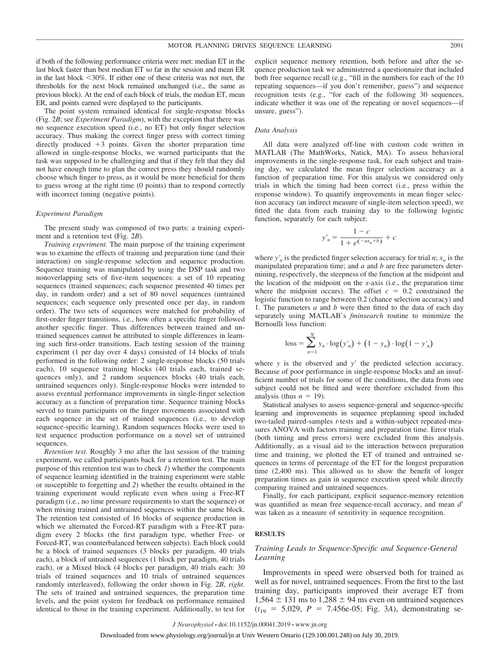if both of the following performance criteria were met: median ET in the last block faster than best median ET so far in the session and mean ER in the last block  $\leq 30\%$ . If either one of these criteria was not met, the thresholds for the next block remained unchanged (i.e., the same as previous block). At the end of each block of trials, the median ET, mean ER, and points earned were displayed to the participants.

The point system remained identical for single-response blocks (Fig. 2*B*; see *Experiment Paradigm*), with the exception that there was no sequence execution speed (i.e., no ET) but only finger selection accuracy. Thus making the correct finger press with correct timing directly produced  $+3$  points. Given the shorter preparation time allowed in single-response blocks, we warned participants that the task was supposed to be challenging and that if they felt that they did not have enough time to plan the correct press they should randomly choose which finger to press, as it would be more beneficial for them to guess wrong at the right time (0 points) than to respond correctly with incorrect timing (negative points).

### *Experiment Paradigm*

The present study was composed of two parts: a training experiment and a retention test (Fig. 2*B*).

*Training experiment.* The main purpose of the training experiment was to examine the effects of training and preparation time (and their interaction) on single-response selection and sequence production. Sequence training was manipulated by using the DSP task and two nonoverlapping sets of five-item sequences: a set of 10 repeating sequences (trained sequences; each sequence presented 40 times per day, in random order) and a set of 80 novel sequences (untrained sequences; each sequence only presented once per day, in random order). The two sets of sequences were matched for probability of first-order finger transitions, i.e., how often a specific finger followed another specific finger. Thus differences between trained and untrained sequences cannot be attributed to simple differences in learning such first-order transitions. Each testing session of the training experiment (1 per day over 4 days) consisted of 14 blocks of trials performed in the following order: 2 single-response blocks (50 trials each), 10 sequence training blocks (40 trials each, trained sequences only), and 2 random sequences blocks (40 trials each, untrained sequences only). Single-response blocks were intended to assess eventual performance improvements in single-finger selection accuracy as a function of preparation time. Sequence training blocks served to train participants on the finger movements associated with each sequence in the set of trained sequences (i.e., to develop sequence-specific learning). Random sequences blocks were used to test sequence production performance on a novel set of untrained sequences.

*Retention test.* Roughly 3 mo after the last session of the training experiment, we called participants back for a retention test. The main purpose of this retention test was to check *1*) whether the components of sequence learning identified in the training experiment were stable or susceptible to forgetting and *2*) whether the results obtained in the training experiment would replicate even when using a Free-RT paradigm (i.e., no time pressure requirements to start the sequence) or when mixing trained and untrained sequences within the same block. The retention test consisted of 16 blocks of sequence production in which we alternated the Forced-RT paradigm with a Free-RT paradigm every 2 blocks (the first paradigm type, whether Free- or Forced-RT, was counterbalanced between subjects). Each block could be a block of trained sequences (3 blocks per paradigm, 40 trials each), a block of untrained sequences (1 block per paradigm, 40 trials each), or a Mixed block (4 blocks per paradigm, 40 trials each: 30 trials of trained sequences and 10 trials of untrained sequences randomly interleaved), following the order shown in Fig. 2*B*, *right*. The sets of trained and untrained sequences, the preparation time levels, and the point system for feedback on performance remained identical to those in the training experiment. Additionally, to test for

explicit sequence memory retention, both before and after the sequence production task we administered a questionnaire that included both free sequence recall (e.g., "fill in the numbers for each of the 10 repeating sequences—if you don't remember, guess") and sequence recognition tests (e.g., "for each of the following 30 sequences, indicate whether it was one of the repeating or novel sequences—if unsure, guess").

### *Data Analysis*

All data were analyzed off-line with custom code written in MATLAB (The MathWorks, Natick, MA). To assess behavioral improvements in the single-response task, for each subject and training day, we calculated the mean finger selection accuracy as a function of preparation time. For this analysis we considered only trials in which the timing had been correct (i.e., press within the response window). To quantify improvements in mean finger selection accuracy (an indirect measure of single-item selection speed), we fitted the data from each training day to the following logistic function, separately for each subject:

$$
y'_n = \frac{1 - c}{1 + e^{(-ax_n + b)}} + c
$$

where  $y'_n$  is the predicted finger selection accuracy for trial  $n; x_n$  is the manipulated preparation time; and *a* and *b* are free parameters determining, respectively, the steepness of the function at the midpoint and the location of the midpoint on the *x*-axis (i.e., the preparation time where the midpoint occurs). The offset  $c = 0.2$  constrained the logistic function to range between 0.2 (chance selection accuracy) and 1. The parameters *a* and *b* were then fitted to the data of each day separately using MATLAB's *fminsearch* routine to minimize the Bernoulli loss function:

$$
loss = \sum_{n=1}^{N} y_n \cdot \log(y'_n) + (1 - y_n) \cdot \log(1 - y'_n)
$$

where  $y$  is the observed and  $y'$  the predicted selection accuracy. Because of poor performance in single-response blocks and an insufficient number of trials for some of the conditions, the data from one subject could not be fitted and were therefore excluded from this analysis (thus  $n = 19$ ).

Statistical analyses to assess sequence-general and sequence-specific learning and improvements in sequence preplanning speed included two-tailed paired-samples *t*-tests and a within-subject repeated-measures ANOVA with factors training and preparation time. Error trials (both timing and press errors) were excluded from this analysis. Additionally, as a visual aid to the interaction between preparation time and training, we plotted the ET of trained and untrained sequences in terms of percentage of the ET for the longest preparation time (2,400 ms). This allowed us to show the benefit of longer preparation times as gain in sequence execution speed while directly comparing trained and untrained sequences.

Finally, for each participant, explicit sequence-memory retention was quantified as mean free sequence-recall accuracy, and mean d' was taken as a measure of sensitivity in sequence recognition.

## **RESULTS**

# *Training Leads to Sequence-Specific and Sequence-General Learning*

Improvements in speed were observed both for trained as well as for novel, untrained sequences. From the first to the last training day, participants improved their average ET from  $1,564 \pm 131$  ms to  $1,288 \pm 94$  ms even on untrained sequences  $(t_{19} = 5.029, P = 7.456e-05; Fig. 3A), demonstrating se-$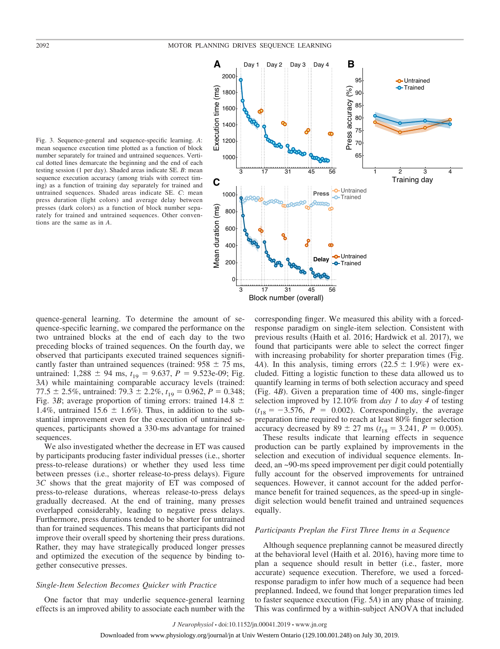

Fig. 3. Sequence-general and sequence-specific learning. *A*: mean sequence execution time plotted as a function of block number separately for trained and untrained sequences. Vertical dotted lines demarcate the beginning and the end of each testing session (1 per day). Shaded areas indicate SE. *B*: mean sequence execution accuracy (among trials with correct timing) as a function of training day separately for trained and untrained sequences. Shaded areas indicate SE. *C*: mean press duration (light colors) and average delay between presses (dark colors) as a function of block number separately for trained and untrained sequences. Other conventions are the same as in *A*.

quence-general learning. To determine the amount of sequence-specific learning, we compared the performance on the two untrained blocks at the end of each day to the two preceding blocks of trained sequences. On the fourth day, we observed that participants executed trained sequences significantly faster than untrained sequences (trained:  $958 \pm 75$  ms, untrained:  $1,288 \pm 94$  ms,  $t_{19} = 9.637$ ,  $P = 9.523e-09$ ; Fig. 3*A*) while maintaining comparable accuracy levels (trained: 77.5  $\pm$  2.5%, untrained: 79.3  $\pm$  2.2%,  $t_{19} = 0.962$ ,  $P = 0.348$ ; Fig. 3*B*; average proportion of timing errors: trained 14.8  $\pm$ 1.4%, untrained 15.6  $\pm$  1.6%). Thus, in addition to the substantial improvement even for the execution of untrained sequences, participants showed a 330-ms advantage for trained sequences.

We also investigated whether the decrease in ET was caused by participants producing faster individual presses (i.e., shorter press-to-release durations) or whether they used less time between presses (i.e., shorter release-to-press delays). Figure 3*C* shows that the great majority of ET was composed of press-to-release durations, whereas release-to-press delays gradually decreased. At the end of training, many presses overlapped considerably, leading to negative press delays. Furthermore, press durations tended to be shorter for untrained than for trained sequences. This means that participants did not improve their overall speed by shortening their press durations. Rather, they may have strategically produced longer presses and optimized the execution of the sequence by binding together consecutive presses.

### *Single-Item Selection Becomes Quicker with Practice*

One factor that may underlie sequence-general learning effects is an improved ability to associate each number with the corresponding finger. We measured this ability with a forcedresponse paradigm on single-item selection. Consistent with previous results (Haith et al. 2016; Hardwick et al. 2017), we found that participants were able to select the correct finger with increasing probability for shorter preparation times (Fig. 4*A*). In this analysis, timing errors  $(22.5 \pm 1.9\%)$  were excluded. Fitting a logistic function to these data allowed us to quantify learning in terms of both selection accuracy and speed (Fig. 4*B*). Given a preparation time of 400 ms, single-finger selection improved by 12.10% from *day 1* to *day 4* of testing  $(t_{18} = -3.576, P = 0.002)$ . Correspondingly, the average preparation time required to reach at least 80% finger selection accuracy decreased by  $89 \pm 27$  ms ( $t_{18} = 3.241$ ,  $P = 0.005$ ).

These results indicate that learning effects in sequence production can be partly explained by improvements in the selection and execution of individual sequence elements. Indeed, an ~90-ms speed improvement per digit could potentially fully account for the observed improvements for untrained sequences. However, it cannot account for the added performance benefit for trained sequences, as the speed-up in singledigit selection would benefit trained and untrained sequences equally.

# *Participants Preplan the First Three Items in a Sequence*

Although sequence preplanning cannot be measured directly at the behavioral level (Haith et al. 2016), having more time to plan a sequence should result in better (i.e., faster, more accurate) sequence execution. Therefore, we used a forcedresponse paradigm to infer how much of a sequence had been preplanned. Indeed, we found that longer preparation times led to faster sequence execution (Fig. 5*A*) in any phase of training. This was confirmed by a within-subject ANOVA that included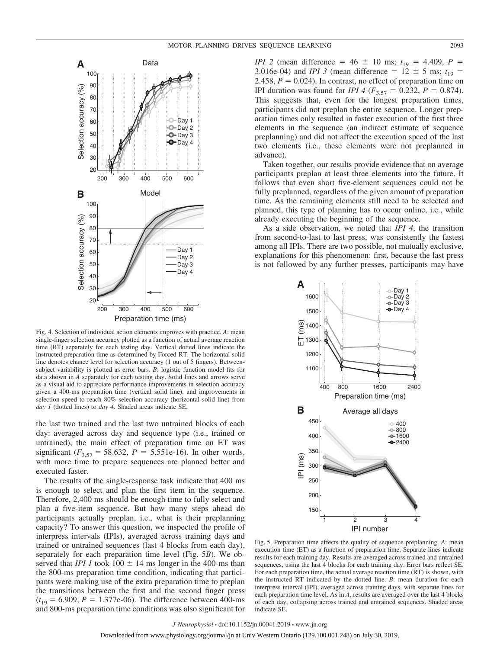

Fig. 4. Selection of individual action elements improves with practice. *A*: mean single-finger selection accuracy plotted as a function of actual average reaction time (RT) separately for each testing day. Vertical dotted lines indicate the instructed preparation time as determined by Forced-RT. The horizontal solid line denotes chance level for selection accuracy (1 out of 5 fingers). Betweensubject variability is plotted as error bars. *B*: logistic function model fits for data shown in *A* separately for each testing day. Solid lines and arrows serve as a visual aid to appreciate performance improvements in selection accuracy given a 400-ms preparation time (vertical solid line), and improvements in selection speed to reach 80% selection accuracy (horizontal solid line) from *day 1* (dotted lines) to *day 4*. Shaded areas indicate SE.

the last two trained and the last two untrained blocks of each day: averaged across day and sequence type (i.e., trained or untrained), the main effect of preparation time on ET was significant  $(F_{3,57} = 58.632, P = 5.551e-16)$ . In other words, with more time to prepare sequences are planned better and executed faster.

The results of the single-response task indicate that 400 ms is enough to select and plan the first item in the sequence. Therefore, 2,400 ms should be enough time to fully select and plan a five-item sequence. But how many steps ahead do participants actually preplan, i.e., what is their preplanning capacity? To answer this question, we inspected the profile of interpress intervals (IPIs), averaged across training days and trained or untrained sequences (last 4 blocks from each day), separately for each preparation time level (Fig. 5*B*). We observed that *IPI 1* took  $100 \pm 14$  ms longer in the 400-ms than the 800-ms preparation time condition, indicating that participants were making use of the extra preparation time to preplan the transitions between the first and the second finger press  $(t_{19} = 6.909, P = 1.377e-06)$ . The difference between 400-ms and 800-ms preparation time conditions was also significant for

*IPI* 2 (mean difference =  $46 \pm 10$  ms;  $t_{19} = 4.409$ ,  $P =$ 3.016e-04) and *IPI* 3 (mean difference =  $12 \pm 5$  ms;  $t_{19}$  = 2.458,  $P = 0.024$ ). In contrast, no effect of preparation time on *IPI* duration was found for *IPI* 4 ( $F_{3,57} = 0.232$ ,  $P = 0.874$ ). This suggests that, even for the longest preparation times, participants did not preplan the entire sequence. Longer preparation times only resulted in faster execution of the first three elements in the sequence (an indirect estimate of sequence preplanning) and did not affect the execution speed of the last two elements (i.e., these elements were not preplanned in advance).

Taken together, our results provide evidence that on average participants preplan at least three elements into the future. It follows that even short five-element sequences could not be fully preplanned, regardless of the given amount of preparation time. As the remaining elements still need to be selected and planned, this type of planning has to occur online, i.e., while already executing the beginning of the sequence.

As a side observation, we noted that *IPI 4*, the transition from second-to-last to last press, was consistently the fastest among all IPIs. There are two possible, not mutually exclusive, explanations for this phenomenon: first, because the last press is not followed by any further presses, participants may have



Fig. 5. Preparation time affects the quality of sequence preplanning. *A*: mean execution time (ET) as a function of preparation time. Separate lines indicate results for each training day. Results are averaged across trained and untrained sequences, using the last 4 blocks for each training day. Error bars reflect SE. For each preparation time, the actual average reaction time (RT) is shown, with the instructed RT indicated by the dotted line. *B*: mean duration for each interpress interval (IPI), averaged across training days, with separate lines for each preparation time level. As in *A*, results are averaged over the last 4 blocks of each day, collapsing across trained and untrained sequences. Shaded areas indicate SE.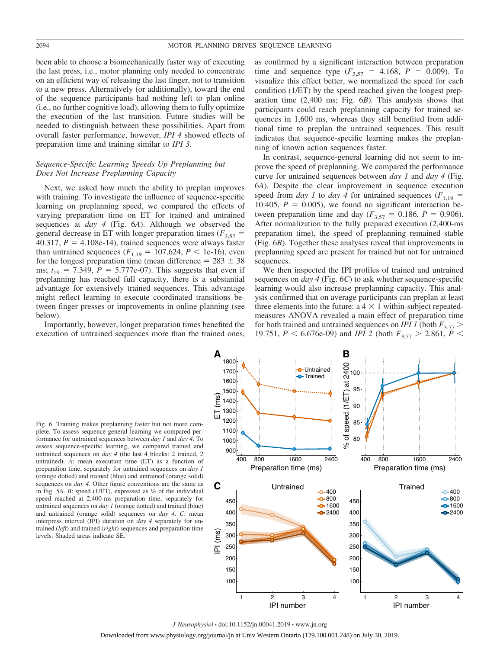been able to choose a biomechanically faster way of executing the last press, i.e., motor planning only needed to concentrate on an efficient way of releasing the last finger, not to transition to a new press. Alternatively (or additionally), toward the end of the sequence participants had nothing left to plan online (i.e., no further cognitive load), allowing them to fully optimize the execution of the last transition. Future studies will be needed to distinguish between these possibilities. Apart from overall faster performance, however, *IPI 4* showed effects of preparation time and training similar to *IPI 3*.

# *Sequence-Specific Learning Speeds Up Preplanning but Does Not Increase Preplanning Capacity*

Next, we asked how much the ability to preplan improves with training. To investigate the influence of sequence-specific learning on preplanning speed, we compared the effects of varying preparation time on ET for trained and untrained sequences at *day 4* (Fig. 6*A*). Although we observed the general decrease in ET with longer preparation times  $(F_{3,57} =$  $40.317$ ,  $P = 4.108$ e-14), trained sequences were always faster than untrained sequences  $(F_{1,19} = 107.624, P < 1e-16)$ , even for the longest preparation time (mean difference  $= 283 \pm 38$ ms;  $t_{19} = 7.349$ ,  $P = 5.777e-07$ ). This suggests that even if preplanning has reached full capacity, there is a substantial advantage for extensively trained sequences. This advantage might reflect learning to execute coordinated transitions between finger presses or improvements in online planning (see below).

Importantly, however, longer preparation times benefited the execution of untrained sequences more than the trained ones,

as confirmed by a significant interaction between preparation time and sequence type  $(F_{3,57} = 4.168, P = 0.009)$ . To visualize this effect better, we normalized the speed for each condition (1/ET) by the speed reached given the longest preparation time (2,400 ms; Fig. 6*B*). This analysis shows that participants could reach preplanning capacity for trained sequences in 1,600 ms, whereas they still benefited from additional time to preplan the untrained sequences. This result indicates that sequence-specific learning makes the preplanning of known action sequences faster.

In contrast, sequence-general learning did not seem to improve the speed of preplanning. We compared the performance curve for untrained sequences between *day 1* and *day 4* (Fig. 6*A*). Despite the clear improvement in sequence execution speed from *day 1* to *day 4* for untrained sequences ( $F_{1,19}$  = 10.405,  $P = 0.005$ ), we found no significant interaction between preparation time and day  $(F_{3,57} = 0.186, P = 0.906)$ . After normalization to the fully prepared execution (2,400-ms preparation time), the speed of preplanning remained stable (Fig. 6*B*). Together these analyses reveal that improvements in preplanning speed are present for trained but not for untrained sequences.

We then inspected the IPI profiles of trained and untrained sequences on *day 4* (Fig. 6*C*) to ask whether sequence-specific learning would also increase preplanning capacity. This analysis confirmed that on average participants can preplan at least three elements into the future:  $a \cdot 4 \times 1$  within-subject repeatedmeasures ANOVA revealed a main effect of preparation time for both trained and untrained sequences on *IPI 1* (both  $F_{3,57}$ ) 19.751,  $P < 6.676e-09$ ) and *IPI 2* (both  $F_{3.57} > 2.861$ ,  $P <$ 

Fig. 6. Training makes preplanning faster but not more complete. To assess sequence-general learning we compared performance for untrained sequences between *day 1* and *day 4*. To assess sequence-specific learning, we compared trained and untrained sequences on *day 4* (the last 4 blocks: 2 trained, 2 untrained). *A*: mean execution time (ET) as a function of preparation time, separately for untrained sequences on *day 1* (orange dotted) and trained (blue) and untrained (orange solid) sequences on *day 4*. Other figure conventions are the same as in Fig. 5*A*. *B*: speed (1/ET), expressed as % of the individual speed reached at 2,400-ms preparation time, separately for untrained sequences on *day 1* (orange dotted) and trained (blue) and untrained (orange solid) sequences on *day 4*. *C*: mean interpress interval (IPI) duration on *day 4* separately for untrained (*left*) and trained (*right*) sequences and preparation time levels. Shaded areas indicate SE.

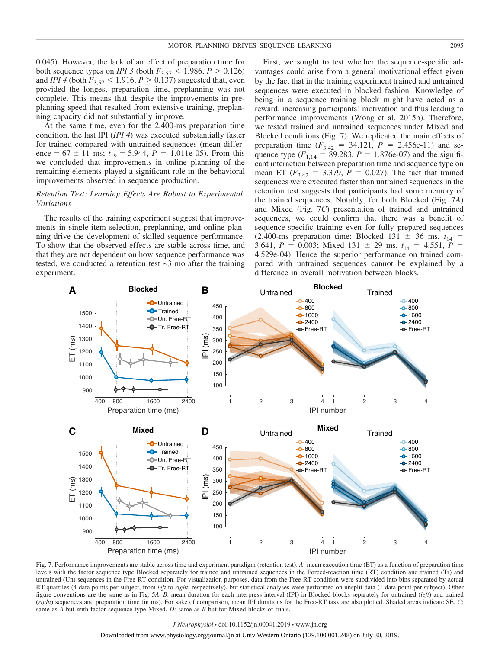0.045). However, the lack of an effect of preparation time for both sequence types on *IPI* 3 (both  $F_{3,57}$  < 1.986,  $P > 0.126$ ) and *IPI* 4 (both  $F_{3,57}$  < 1.916, *P* > 0.137) suggested that, even provided the longest preparation time, preplanning was not complete. This means that despite the improvements in preplanning speed that resulted from extensive training, preplanning capacity did not substantially improve.

At the same time, even for the 2,400-ms preparation time condition, the last IPI (*IPI 4*) was executed substantially faster for trained compared with untrained sequences (mean difference =  $67 \pm 11$  ms;  $t_{19} = 5.944$ ,  $P = 1.011$ e-05). From this we concluded that improvements in online planning of the remaining elements played a significant role in the behavioral improvements observed in sequence production.

# *Retention Test: Learning Effects Are Robust to Experimental Variations*

The results of the training experiment suggest that improvements in single-item selection, preplanning, and online planning drive the development of skilled sequence performance. To show that the observed effects are stable across time, and that they are not dependent on how sequence performance was tested, we conducted a retention test  $\sim$ 3 mo after the training experiment.

First, we sought to test whether the sequence-specific advantages could arise from a general motivational effect given by the fact that in the training experiment trained and untrained sequences were executed in blocked fashion. Knowledge of being in a sequence training block might have acted as a reward, increasing participants' motivation and thus leading to performance improvements (Wong et al. 2015b). Therefore, we tested trained and untrained sequences under Mixed and Blocked conditions (Fig. 7). We replicated the main effects of preparation time  $(F_{3,42} = 34.121, P = 2.456e-11)$  and sequence type  $(F_{1,14} = 89.283, P = 1.876e-07)$  and the significant interaction between preparation time and sequence type on mean ET ( $F_{3,42} = 3.379$ ,  $P = 0.027$ ). The fact that trained sequences were executed faster than untrained sequences in the retention test suggests that participants had some memory of the trained sequences. Notably, for both Blocked (Fig. 7*A*) and Mixed (Fig. 7*C*) presentation of trained and untrained sequences, we could confirm that there was a benefit of sequence-specific training even for fully prepared sequences (2,400-ms preparation time: Blocked 131  $\pm$  36 ms,  $t_{14}$  = 3.641,  $P = 0.003$ ; Mixed 131  $\pm$  29 ms,  $t_{14} = 4.551$ ,  $P =$ 4.529e-04). Hence the superior performance on trained compared with untrained sequences cannot be explained by a difference in overall motivation between blocks.



Fig. 7. Performance improvements are stable across time and experiment paradigm (retention test). *A*: mean execution time (ET) as a function of preparation time levels with the factor sequence type Blocked separately for trained and untrained sequences in the Forced-reaction time (RT) condition and trained (Tr) and untrained (Un) sequences in the Free-RT condition. For visualization purposes, data from the Free-RT condition were subdivided into bins separated by actual RT quartiles (4 data points per subject, from *left* to *right*, respectively), but statistical analyses were performed on unsplit data (1 data point per subject). Other figure conventions are the same as in Fig. 5*A*. *B*: mean duration for each interpress interval (IPI) in Blocked blocks separately for untrained (*left*) and trained (*right*) sequences and preparation time (in ms). For sake of comparison, mean IPI durations for the Free-RT task are also plotted. Shaded areas indicate SE. *C*: same as *A* but with factor sequence type Mixed. *D*: same as *B* but for Mixed blocks of trials.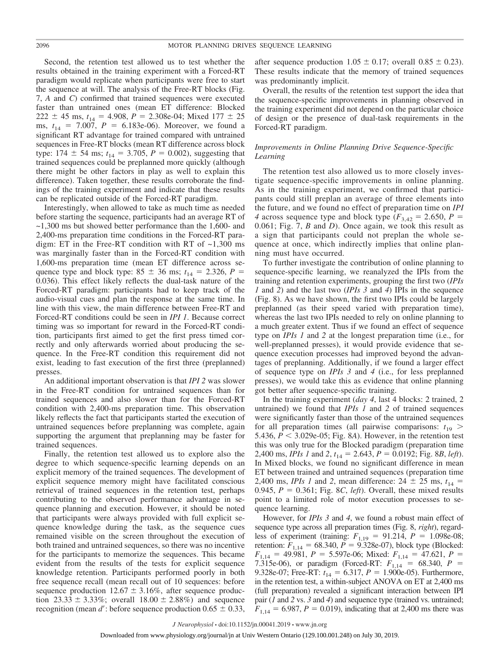Second, the retention test allowed us to test whether the results obtained in the training experiment with a Forced-RT paradigm would replicate when participants were free to start the sequence at will. The analysis of the Free-RT blocks (Fig. 7, *A* and *C*) confirmed that trained sequences were executed faster than untrained ones (mean ET difference: Blocked  $222 \pm 45$  ms,  $t_{14} = 4.908$ ,  $P = 2.308$ e-04; Mixed 177  $\pm 25$ ms,  $t_{14} = 7.007$ ,  $P = 6.183e-06$ ). Moreover, we found a significant RT advantage for trained compared with untrained sequences in Free-RT blocks (mean RT difference across block type:  $174 \pm 54$  ms;  $t_{14} = 3.705$ ,  $P = 0.002$ ), suggesting that trained sequences could be preplanned more quickly (although there might be other factors in play as well to explain this difference). Taken together, these results corroborate the findings of the training experiment and indicate that these results can be replicated outside of the Forced-RT paradigm.

Interestingly, when allowed to take as much time as needed before starting the sequence, participants had an average RT of  $\sim$ 1,300 ms but showed better performance than the 1,600- and 2,400-ms preparation time conditions in the Forced-RT paradigm: ET in the Free-RT condition with RT of  $\sim$ 1,300 ms was marginally faster than in the Forced-RT condition with 1,600-ms preparation time (mean ET difference across sequence type and block type:  $85 \pm 36$  ms;  $t_{14} = 2.326$ ,  $P =$ 0.036). This effect likely reflects the dual-task nature of the Forced-RT paradigm: participants had to keep track of the audio-visual cues and plan the response at the same time. In line with this view, the main difference between Free-RT and Forced-RT conditions could be seen in *IPI 1*. Because correct timing was so important for reward in the Forced-RT condition, participants first aimed to get the first press timed correctly and only afterwards worried about producing the sequence. In the Free-RT condition this requirement did not exist, leading to fast execution of the first three (preplanned) presses.

An additional important observation is that *IPI 2* was slower in the Free-RT condition for untrained sequences than for trained sequences and also slower than for the Forced-RT condition with 2,400-ms preparation time. This observation likely reflects the fact that participants started the execution of untrained sequences before preplanning was complete, again supporting the argument that preplanning may be faster for trained sequences.

Finally, the retention test allowed us to explore also the degree to which sequence-specific learning depends on an explicit memory of the trained sequences. The development of explicit sequence memory might have facilitated conscious retrieval of trained sequences in the retention test, perhaps contributing to the observed performance advantage in sequence planning and execution. However, it should be noted that participants were always provided with full explicit sequence knowledge during the task, as the sequence cues remained visible on the screen throughout the execution of both trained and untrained sequences, so there was no incentive for the participants to memorize the sequences. This became evident from the results of the tests for explicit sequence knowledge retention. Participants performed poorly in both free sequence recall (mean recall out of 10 sequences: before sequence production  $12.67 \pm 3.16\%$ , after sequence production  $23.33 \pm 3.33\%$ ; overall  $18.00 \pm 2.88\%$  and sequence recognition (mean *d*': before sequence production  $0.65 \pm 0.33$ ,

after sequence production  $1.05 \pm 0.17$ ; overall  $0.85 \pm 0.23$ ). These results indicate that the memory of trained sequences was predominantly implicit.

Overall, the results of the retention test support the idea that the sequence-specific improvements in planning observed in the training experiment did not depend on the particular choice of design or the presence of dual-task requirements in the Forced-RT paradigm.

# *Improvements in Online Planning Drive Sequence-Specific Learning*

The retention test also allowed us to more closely investigate sequence-specific improvements in online planning. As in the training experiment, we confirmed that participants could still preplan an average of three elements into the future, and we found no effect of preparation time on *IPI* 4 across sequence type and block type  $(F_{3,42} = 2.650, P =$ 0.061; Fig. 7, *B* and *D*). Once again, we took this result as a sign that participants could not preplan the whole sequence at once, which indirectly implies that online planning must have occurred.

To further investigate the contribution of online planning to sequence-specific learning, we reanalyzed the IPIs from the training and retention experiments, grouping the first two (*IPIs 1* and *2*) and the last two (*IPIs 3* and *4*) IPIs in the sequence (Fig. 8). As we have shown, the first two IPIs could be largely preplanned (as their speed varied with preparation time), whereas the last two IPIs needed to rely on online planning to a much greater extent. Thus if we found an effect of sequence type on *IPIs 1* and *2* at the longest preparation time (i.e., for well-preplanned presses), it would provide evidence that sequence execution processes had improved beyond the advantages of preplanning. Additionally, if we found a larger effect of sequence type on *IPIs 3* and *4* (i.e., for less preplanned presses), we would take this as evidence that online planning got better after sequence-specific training.

In the training experiment (*day 4*, last 4 blocks: 2 trained, 2 untrained) we found that *IPIs 1* and *2* of trained sequences were significantly faster than those of the untrained sequences for all preparation times (all pairwise comparisons:  $t_{19}$  > 5.436,  $P < 3.029e-05$ ; Fig. 8A). However, in the retention test this was only true for the Blocked paradigm (preparation time 2,400 ms, *IPIs 1* and 2,  $t_{14} = 2.643$ ,  $P = 0.0192$ ; Fig. 8*B*, *left*). In Mixed blocks, we found no significant difference in mean ET between trained and untrained sequences (preparation time 2,400 ms, *IPIs 1* and 2, mean difference:  $24 \pm 25$  ms,  $t_{14} =$ 0.945,  $P = 0.361$ ; Fig. 8*C*, *left*). Overall, these mixed results point to a limited role of motor execution processes to sequence learning.

However, for *IPIs 3* and *4*, we found a robust main effect of sequence type across all preparation times (Fig. 8, *right*), regardless of experiment (training:  $F_{1,19} = 91.214$ ,  $P = 1.098e-08$ ; retention:  $F_{1,14} = 68.340, P = 9.328e-07$ ), block type (Blocked:  $F_{1,14} = 49.981, P = 5.597e-06$ ; Mixed:  $F_{1,14} = 47.621, P =$ 7.315e-06), or paradigm (Forced-RT:  $F_{1,14} = 68.340, P =$ 9.328e-07; Free-RT:  $t_{14} = 6.317$ ,  $P = 1.900e-05$ ). Furthermore, in the retention test, a within-subject ANOVA on ET at 2,400 ms (full preparation) revealed a significant interaction between IPI pair ( $\overline{I}$  and  $\overline{2}$  vs.  $\overline{3}$  and  $\overline{4}$ ) and sequence type (trained vs. untrained;  $F_{1,14} = 6.987, P = 0.019$ , indicating that at 2,400 ms there was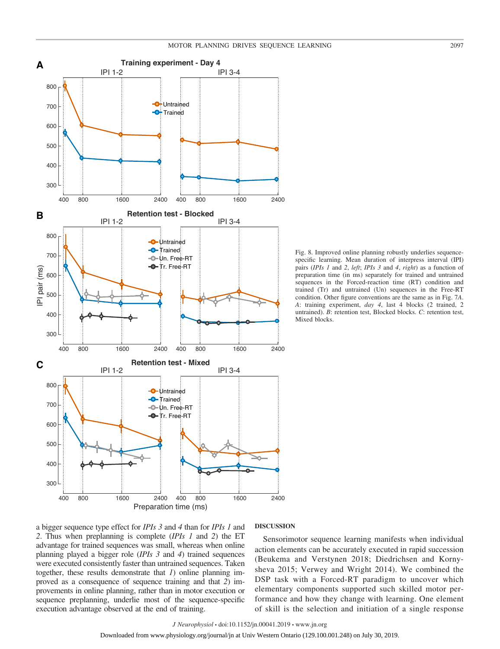

Fig. 8. Improved online planning robustly underlies sequencespecific learning. Mean duration of interpress interval (IPI) pairs (*IPIs 1* and *2*, *left*; *IPIs 3* and *4*, *right*) as a function of preparation time (in ms) separately for trained and untrained sequences in the Forced-reaction time (RT) condition and trained (Tr) and untrained (Un) sequences in the Free-RT condition. Other figure conventions are the same as in Fig. 7*A*. *A*: training experiment, *day 4*, last 4 blocks (2 trained, 2 untrained). *B*: retention test, Blocked blocks. *C*: retention test, Mixed blocks.

a bigger sequence type effect for *IPIs 3* and *4* than for *IPIs 1* and *2*. Thus when preplanning is complete (*IPIs 1* and *2*) the ET advantage for trained sequences was small, whereas when online planning played a bigger role (*IPIs 3* and *4*) trained sequences were executed consistently faster than untrained sequences. Taken together, these results demonstrate that *1*) online planning improved as a consequence of sequence training and that *2*) improvements in online planning, rather than in motor execution or sequence preplanning, underlie most of the sequence-specific execution advantage observed at the end of training.

# **DISCUSSION**

Sensorimotor sequence learning manifests when individual action elements can be accurately executed in rapid succession (Beukema and Verstynen 2018; Diedrichsen and Kornysheva 2015; Verwey and Wright 2014). We combined the DSP task with a Forced-RT paradigm to uncover which elementary components supported such skilled motor performance and how they change with learning. One element of skill is the selection and initiation of a single response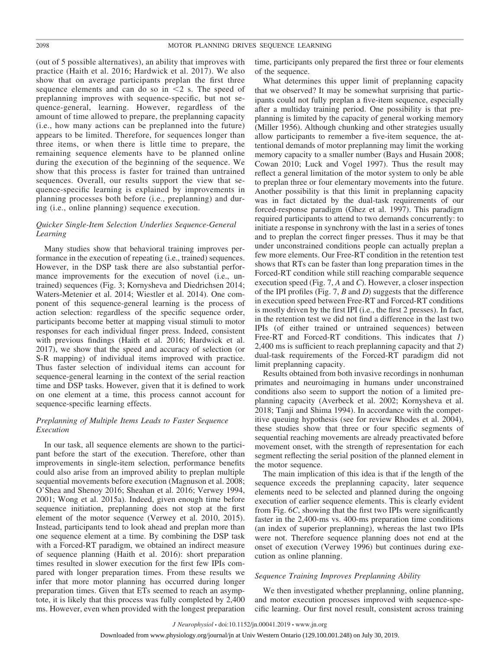(out of 5 possible alternatives), an ability that improves with practice (Haith et al. 2016; Hardwick et al. 2017). We also show that on average participants preplan the first three sequence elements and can do so in  $\leq 2$  s. The speed of preplanning improves with sequence-specific, but not sequence-general, learning. However, regardless of the amount of time allowed to prepare, the preplanning capacity (i.e., how many actions can be preplanned into the future) appears to be limited. Therefore, for sequences longer than three items, or when there is little time to prepare, the remaining sequence elements have to be planned online during the execution of the beginning of the sequence. We show that this process is faster for trained than untrained sequences. Overall, our results support the view that sequence-specific learning is explained by improvements in planning processes both before (i.e., preplanning) and during (i.e., online planning) sequence execution.

# *Quicker Single-Item Selection Underlies Sequence-General Learning*

Many studies show that behavioral training improves performance in the execution of repeating (i.e., trained) sequences. However, in the DSP task there are also substantial performance improvements for the execution of novel (i.e., untrained) sequences (Fig. 3; Kornysheva and Diedrichsen 2014; Waters-Metenier et al. 2014; Wiestler et al. 2014). One component of this sequence-general learning is the process of action selection: regardless of the specific sequence order, participants become better at mapping visual stimuli to motor responses for each individual finger press. Indeed, consistent with previous findings (Haith et al. 2016; Hardwick et al. 2017), we show that the speed and accuracy of selection (or S-R mapping) of individual items improved with practice. Thus faster selection of individual items can account for sequence-general learning in the context of the serial reaction time and DSP tasks. However, given that it is defined to work on one element at a time, this process cannot account for sequence-specific learning effects.

# *Preplanning of Multiple Items Leads to Faster Sequence Execution*

In our task, all sequence elements are shown to the participant before the start of the execution. Therefore, other than improvements in single-item selection, performance benefits could also arise from an improved ability to preplan multiple sequential movements before execution (Magnuson et al. 2008; O'Shea and Shenoy 2016; Sheahan et al. 2016; Verwey 1994, 2001; Wong et al. 2015a). Indeed, given enough time before sequence initiation, preplanning does not stop at the first element of the motor sequence (Verwey et al. 2010, 2015). Instead, participants tend to look ahead and preplan more than one sequence element at a time. By combining the DSP task with a Forced-RT paradigm, we obtained an indirect measure of sequence planning (Haith et al. 2016): short preparation times resulted in slower execution for the first few IPIs compared with longer preparation times. From these results we infer that more motor planning has occurred during longer preparation times. Given that ETs seemed to reach an asymptote, it is likely that this process was fully completed by 2,400 ms. However, even when provided with the longest preparation

time, participants only prepared the first three or four elements of the sequence.

What determines this upper limit of preplanning capacity that we observed? It may be somewhat surprising that participants could not fully preplan a five-item sequence, especially after a multiday training period. One possibility is that preplanning is limited by the capacity of general working memory (Miller 1956). Although chunking and other strategies usually allow participants to remember a five-item sequence, the attentional demands of motor preplanning may limit the working memory capacity to a smaller number (Bays and Husain 2008; Cowan 2010; Luck and Vogel 1997). Thus the result may reflect a general limitation of the motor system to only be able to preplan three or four elementary movements into the future. Another possibility is that this limit in preplanning capacity was in fact dictated by the dual-task requirements of our forced-response paradigm (Ghez et al. 1997). This paradigm required participants to attend to two demands concurrently: to initiate a response in synchrony with the last in a series of tones and to preplan the correct finger presses. Thus it may be that under unconstrained conditions people can actually preplan a few more elements. Our Free-RT condition in the retention test shows that RTs can be faster than long preparation times in the Forced-RT condition while still reaching comparable sequence execution speed (Fig. 7, *A* and *C*). However, a closer inspection of the IPI profiles (Fig. 7, *B* and *D*) suggests that the difference in execution speed between Free-RT and Forced-RT conditions is mostly driven by the first IPI (i.e., the first 2 presses). In fact, in the retention test we did not find a difference in the last two IPIs (of either trained or untrained sequences) between Free-RT and Forced-RT conditions. This indicates that *1*) 2,400 ms is sufficient to reach preplanning capacity and that *2*) dual-task requirements of the Forced-RT paradigm did not limit preplanning capacity.

Results obtained from both invasive recordings in nonhuman primates and neuroimaging in humans under unconstrained conditions also seem to support the notion of a limited preplanning capacity (Averbeck et al. 2002; Kornysheva et al. 2018; Tanji and Shima 1994). In accordance with the competitive queuing hypothesis (see for review Rhodes et al. 2004), these studies show that three or four specific segments of sequential reaching movements are already preactivated before movement onset, with the strength of representation for each segment reflecting the serial position of the planned element in the motor sequence.

The main implication of this idea is that if the length of the sequence exceeds the preplanning capacity, later sequence elements need to be selected and planned during the ongoing execution of earlier sequence elements. This is clearly evident from Fig. 6*C*, showing that the first two IPIs were significantly faster in the 2,400-ms vs. 400-ms preparation time conditions (an index of superior preplanning), whereas the last two IPIs were not. Therefore sequence planning does not end at the onset of execution (Verwey 1996) but continues during execution as online planning.

# *Sequence Training Improves Preplanning Ability*

We then investigated whether preplanning, online planning, and motor execution processes improved with sequence-specific learning. Our first novel result, consistent across training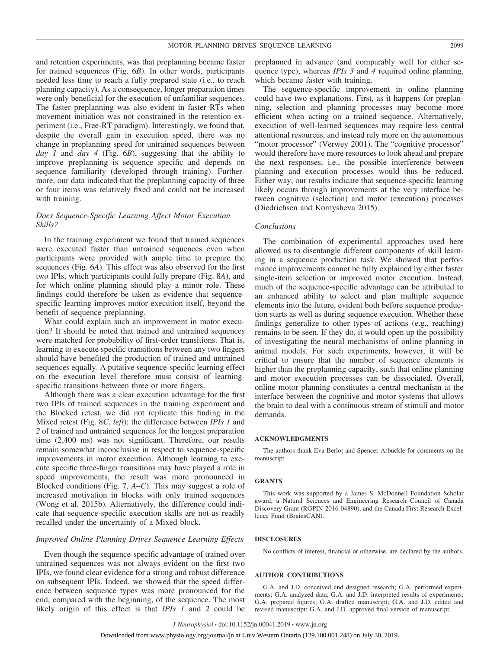and retention experiments, was that preplanning became faster for trained sequences (Fig. 6*B*). In other words, participants needed less time to reach a fully prepared state (i.e., to reach planning capacity). As a consequence, longer preparation times were only beneficial for the execution of unfamiliar sequences. The faster preplanning was also evident in faster RTs when movement initiation was not constrained in the retention experiment (i.e., Free-RT paradigm). Interestingly, we found that, despite the overall gain in execution speed, there was no change in preplanning speed for untrained sequences between *day 1* and *day 4* (Fig. 6*B*), suggesting that the ability to improve preplanning is sequence specific and depends on sequence familiarity (developed through training). Furthermore, our data indicated that the preplanning capacity of three or four items was relatively fixed and could not be increased with training.

# *Does Sequence-Specific Learning Affect Motor Execution Skills?*

In the training experiment we found that trained sequences were executed faster than untrained sequences even when participants were provided with ample time to prepare the sequences (Fig. 6*A*). This effect was also observed for the first two IPIs, which participants could fully prepare (Fig. 8*A*), and for which online planning should play a minor role. These findings could therefore be taken as evidence that sequencespecific learning improves motor execution itself, beyond the benefit of sequence preplanning.

What could explain such an improvement in motor execution? It should be noted that trained and untrained sequences were matched for probability of first-order transitions. That is, learning to execute specific transitions between any two fingers should have benefited the production of trained and untrained sequences equally. A putative sequence-specific learning effect on the execution level therefore must consist of learningspecific transitions between three or more fingers.

Although there was a clear execution advantage for the first two IPIs of trained sequences in the training experiment and the Blocked retest, we did not replicate this finding in the Mixed retest (Fig. 8*C*, *left*): the difference between *IPIs 1* and *2* of trained and untrained sequences for the longest preparation time (2,400 ms) was not significant. Therefore, our results remain somewhat inconclusive in respect to sequence-specific improvements in motor execution. Although learning to execute specific three-finger transitions may have played a role in speed improvements, the result was more pronounced in Blocked conditions (Fig. 7, *A*–*C*). This may suggest a role of increased motivation in blocks with only trained sequences (Wong et al. 2015b). Alternatively, the difference could indicate that sequence-specific execution skills are not as readily recalled under the uncertainty of a Mixed block.

# *Improved Online Planning Drives Sequence Learning Effects*

Even though the sequence-specific advantage of trained over untrained sequences was not always evident on the first two IPIs, we found clear evidence for a strong and robust difference on subsequent IPIs. Indeed, we showed that the speed difference between sequence types was more pronounced for the end, compared with the beginning, of the sequence. The most likely origin of this effect is that *IPIs 1* and *2* could be

preplanned in advance (and comparably well for either sequence type), whereas *IPIs 3* and *4* required online planning, which became faster with training.

The sequence-specific improvement in online planning could have two explanations. First, as it happens for preplanning, selection and planning processes may become more efficient when acting on a trained sequence. Alternatively, execution of well-learned sequences may require less central attentional resources, and instead rely more on the autonomous "motor processor" (Verwey 2001). The "cognitive processor" would therefore have more resources to look ahead and prepare the next responses, i.e., the possible interference between planning and execution processes would thus be reduced. Either way, our results indicate that sequence-specific learning likely occurs through improvements at the very interface between cognitive (selection) and motor (execution) processes (Diedrichsen and Kornysheva 2015).

### *Conclusions*

The combination of experimental approaches used here allowed us to disentangle different components of skill learning in a sequence production task. We showed that performance improvements cannot be fully explained by either faster single-item selection or improved motor execution. Instead, much of the sequence-specific advantage can be attributed to an enhanced ability to select and plan multiple sequence elements into the future, evident both before sequence production starts as well as during sequence execution. Whether these findings generalize to other types of actions (e.g., reaching) remains to be seen. If they do, it would open up the possibility of investigating the neural mechanisms of online planning in animal models. For such experiments, however, it will be critical to ensure that the number of sequence elements is higher than the preplanning capacity, such that online planning and motor execution processes can be dissociated. Overall, online motor planning constitutes a central mechanism at the interface between the cognitive and motor systems that allows the brain to deal with a continuous stream of stimuli and motor demands.

### **ACKNOWLEDGMENTS**

The authors thank Eva Berlot and Spencer Arbuckle for comments on the manuscript.

### **GRANTS**

This work was supported by a James S. McDonnell Foundation Scholar award, a Natural Sciences and Engineering Research Council of Canada Discovery Grant (RGPIN-2016-04890), and the Canada First Research Excellence Fund (BrainsCAN).

# **DISCLOSURES**

No conflicts of interest, financial or otherwise, are declared by the authors.

### **AUTHOR CONTRIBUTIONS**

G.A. and J.D. conceived and designed research; G.A. performed experiments; G.A. analyzed data; G.A. and J.D. interpreted results of experiments; G.A. prepared figures; G.A. drafted manuscript; G.A. and J.D. edited and revised manuscript; G.A. and J.D. approved final version of manuscript.